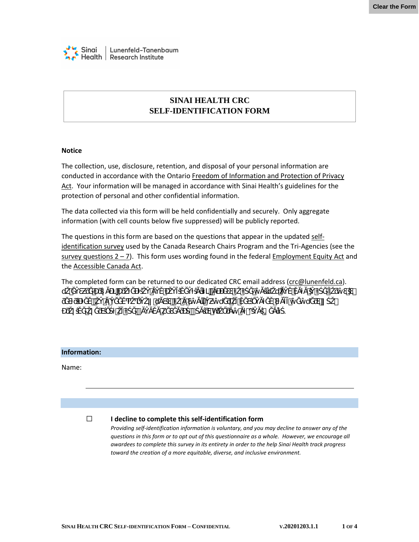

# **SINAI HEALTH CRC SELF-IDENTIFICATION FORM**

# **Notice**

The collection, use, disclosure, retention, and disposal of your personal information are conducted in accordance with the Ontario Freedom of Information and Protection of Privacy [Act.](https://www.ontario.ca/laws/statute/90f31) Your information will be managed in accordance with Sinai Health's guidelines for the protection of personal and other confidential information.

The data collected via this form will be held confidentially and securely. Only aggregate information (with cell counts below five suppressed) will be publicly reported.

The questions in this form are based on the questions that appear in the updated [self](https://www.chairs-chaires.gc.ca/forms-formulaires/self_identification_preview-eng.pdf)[identification survey](https://www.chairs-chaires.gc.ca/forms-formulaires/self_identification_preview-eng.pdf) used by the Canada Research Chairs Program and the Tri-Agencies (see the  $s$ urvey questions  $2 - 7$ ). This form uses wording found in the federal [Employment Equity Act](http://laws-lois.justice.gc.ca/eng/acts/e-5.401/) and the [Accessible Canada Act.](https://laws-lois.justice.gc.ca/eng/acts/A-0.6/)

The completed form can be returned to our dedicated CRC email address [\(crc@lunenfeld.ca\)](mailto:crc@lunenfeld.ca). dÃ, vie viena dživaria viena dživaria viena dživaria viena dživaria viena dživaria viena dživaria viena dživar<br>Dživaria

|  |  |  |  | $\#$ k $\#$ h o = |  |  |  |  |
|--|--|--|--|-------------------|--|--|--|--|

# **Information:**

Name:

#### ☐ **I decline to complete this self-identification form**

*Providing self-identification information is voluntary, and you may decline to answer any of the questions in this form or to opt out of this questionnaire as a whole. However, we encourage all awardees to complete this survey in its entirety in order to the help Sinai Health track progress toward the creation of a more equitable, diverse, and inclusive environment.*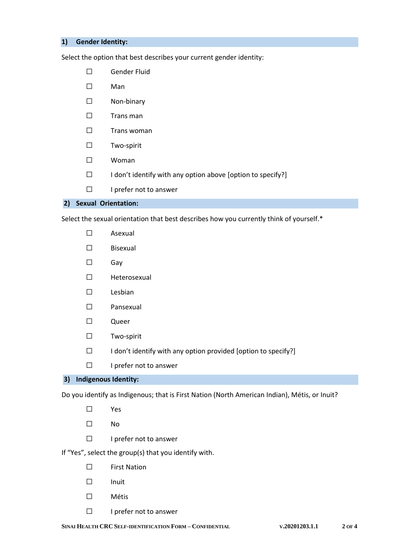# **1) Gender Identity:**

Select the option that best describes your current gender identity:

- ☐ Gender Fluid
- ☐ Man
- ☐ Non-binary
- ☐ Trans man
- ☐ Trans woman
- ☐ Two-spirit
- ☐ Woman
- ☐ I don't identify with any option above [option to specify?]
- ☐ I prefer not to answer

# **2) Sexual Orientation:**

Select the sexual orientation that best describes how you currently think of yourself.\*

- ☐ Asexual
- ☐ Bisexual
- ☐ Gay
- ☐ Heterosexual
- ☐ Lesbian
- ☐ Pansexual
- ☐ Queer
- ☐ Two-spirit
- ☐ I don't identify with any option provided [option to specify?]
- ☐ I prefer not to answer

#### **3) Indigenous Identity:**

Do you identify as Indigenous; that is First Nation (North American Indian), Métis, or Inuit?

- ☐ Yes
- ☐ No
- ☐ I prefer not to answer
- If "Yes", select the group(s) that you identify with.
	- ☐ First Nation
	- ☐ Inuit
	- ☐ Métis
	- ☐ I prefer not to answer

**SINAI HEALTH CRC SELF-IDENTIFICATION FORM – CONFIDENTIAL V.20201203.1.1 2 OF 4**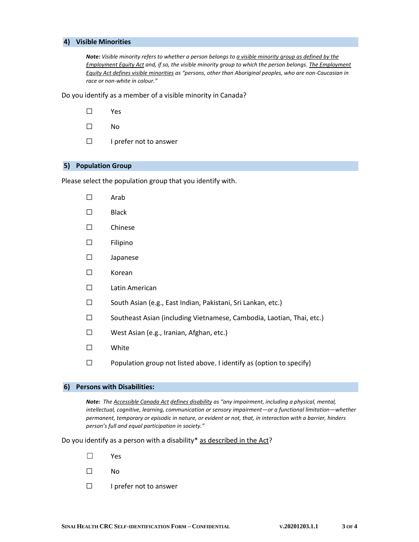### **4) Visible Minorities**

*Note: Visible minority refers to whether a person belongs t[o a visible minority group as defined by the](https://laws-lois.justice.gc.ca/eng/acts/e-5.401/page-1.html#h-215140)  [Employment Equity Act](https://laws-lois.justice.gc.ca/eng/acts/e-5.401/page-1.html#h-215140) and, if so, the visible minority group to which the person belongs[. The Employment](https://laws-lois.justice.gc.ca/eng/acts/e-5.401/page-1.html#h-215140)  Equity Act [defines visible minorities](https://laws-lois.justice.gc.ca/eng/acts/e-5.401/page-1.html#h-215140) as "persons, other than Aboriginal peoples, who are non-Caucasian in race or non-white in colour."* 

Do you identify as a member of a visible minority in Canada?

- ☐ Yes
- ☐ No
- ☐ I prefer not to answer

## **5) Population Group**

Please select the population group that you identify with.

- ☐ Arab
- ☐ Black
- ☐ Chinese
- ☐ Filipino
- ☐ Japanese
- ☐ Korean
- ☐ Latin American
- ☐ South Asian (e.g., East Indian, Pakistani, Sri Lankan, etc.)
- ☐ Southeast Asian (including Vietnamese, Cambodia, Laotian, Thai, etc.)
- ☐ West Asian (e.g., Iranian, Afghan, etc.)
- ☐ White
- $\square$  Population group not listed above. I identify as (option to specify)

#### **6) Persons with Disabilities:**

*Note: Th[e Accessible Canada Act](https://laws-lois.justice.gc.ca/eng/acts/A-0.6/) [defines disability](https://laws-lois.justice.gc.ca/eng/acts/A-0.6/page-1.html#h-1153395) as "any impairment, including a physical, mental, intellectual, cognitive, learning, communication or sensory impairment—or a functional limitation—whether permanent, temporary or episodic in nature, or evident or not, that, in interaction with a barrier, hinders person's full and equal participation in society."*

## Do you identify as a person with a disability\* [as described in the Act?](https://laws-lois.justice.gc.ca/eng/acts/A-0.6/page-1.html#h-1153395)

- ☐ Yes
- ☐ No
- ☐ I prefer not to answer